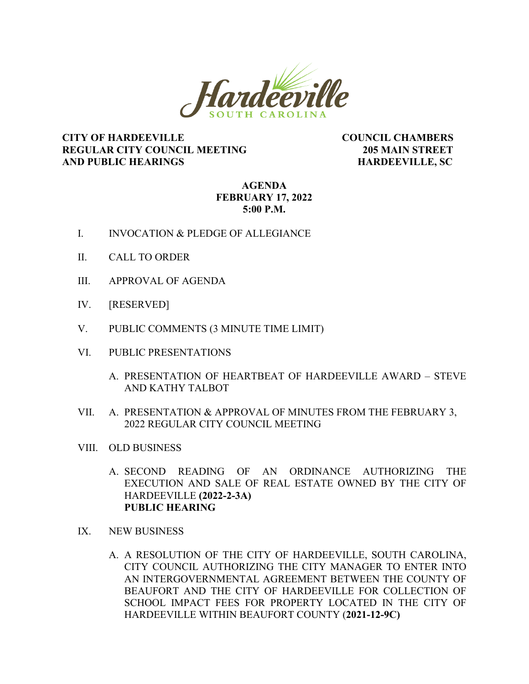

## **CITY OF HARDEEVILLE COUNCIL CHAMBERS REGULAR CITY COUNCIL MEETING 205 MAIN STREET AND PUBLIC HEARINGS HARDEEVILLE, SC**

## **AGENDA FEBRUARY 17, 2022 5:00 P.M.**

- I. INVOCATION & PLEDGE OF ALLEGIANCE
- II. CALL TO ORDER
- III. APPROVAL OF AGENDA
- IV. [RESERVED]
- V. PUBLIC COMMENTS (3 MINUTE TIME LIMIT)
- VI. PUBLIC PRESENTATIONS
	- A. PRESENTATION OF HEARTBEAT OF HARDEEVILLE AWARD STEVE AND KATHY TALBOT
- VII. A. PRESENTATION & APPROVAL OF MINUTES FROM THE FEBRUARY 3, 2022 REGULAR CITY COUNCIL MEETING
- VIII. OLD BUSINESS
	- A. SECOND READING OF AN ORDINANCE AUTHORIZING THE EXECUTION AND SALE OF REAL ESTATE OWNED BY THE CITY OF HARDEEVILLE **(2022-2-3A) PUBLIC HEARING**
- IX. NEW BUSINESS
	- A. A RESOLUTION OF THE CITY OF HARDEEVILLE, SOUTH CAROLINA, CITY COUNCIL AUTHORIZING THE CITY MANAGER TO ENTER INTO AN INTERGOVERNMENTAL AGREEMENT BETWEEN THE COUNTY OF BEAUFORT AND THE CITY OF HARDEEVILLE FOR COLLECTION OF SCHOOL IMPACT FEES FOR PROPERTY LOCATED IN THE CITY OF HARDEEVILLE WITHIN BEAUFORT COUNTY (**2021-12-9C)**